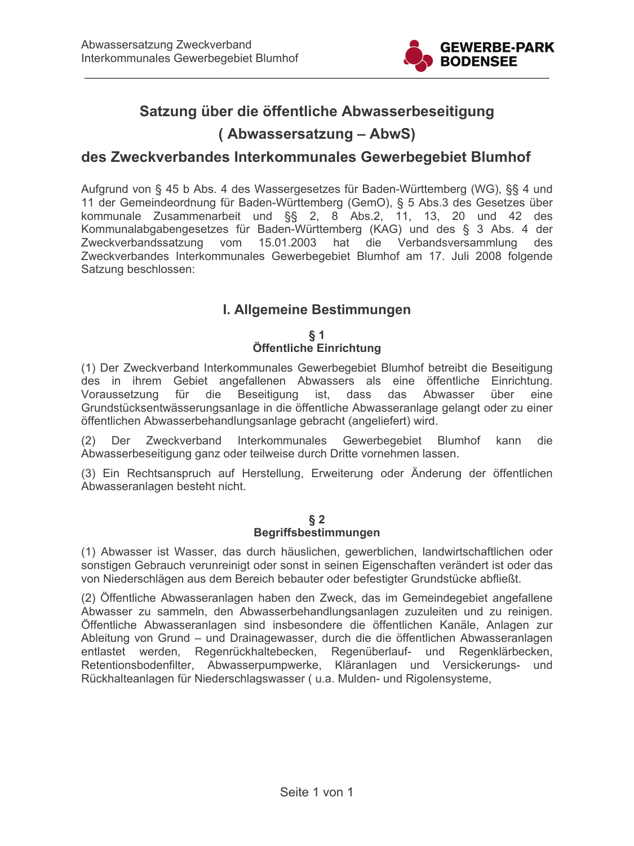

# Satzung über die öffentliche Abwasserbeseitigung

# (Abwassersatzung – AbwS)

# des Zweckverbandes Interkommunales Gewerbegebiet Blumhof

Aufgrund von § 45 b Abs. 4 des Wassergesetzes für Baden-Württemberg (WG), §§ 4 und 11 der Gemeindeordnung für Baden-Württemberg (GemO), § 5 Abs.3 des Gesetzes über kommunale Zusammenarbeit und §§ 2, 8 Abs.2, 11, 13, 20 und 42 des Kommunalabgabengesetzes für Baden-Württemberg (KAG) und des § 3 Abs. 4 der Zweckverbandssatzung vom 15.01.2003 hat die Verbandsversammlung des Zweckverbandes Interkommunales Gewerbegebiet Blumhof am 17. Juli 2008 folgende Satzung beschlossen:

# I. Allgemeine Bestimmungen

 $\S 1$ 

## Öffentliche Einrichtung

(1) Der Zweckverband Interkommunales Gewerbegebiet Blumhof betreibt die Beseitigung des in ihrem Gebiet angefallenen Abwassers als eine öffentliche Einrichtung. Voraussetzung für die Beseitigung ist, dass das Abwasser über eine Grundstücksentwässerungsanlage in die öffentliche Abwasseranlage gelangt oder zu einer öffentlichen Abwasserbehandlungsanlage gebracht (angeliefert) wird.

(2) Der Zweckverband Interkommunales Gewerbegebiet Blumhof kann die Abwasserbeseitigung ganz oder teilweise durch Dritte vornehmen lassen.

(3) Ein Rechtsanspruch auf Herstellung, Erweiterung oder Änderung der öffentlichen Abwasseranlagen besteht nicht.

#### $§$  2 **Begriffsbestimmungen**

(1) Abwasser ist Wasser, das durch häuslichen, gewerblichen, landwirtschaftlichen oder sonstigen Gebrauch verunreinigt oder sonst in seinen Eigenschaften verändert ist oder das von Niederschlägen aus dem Bereich bebauter oder befestigter Grundstücke abfließt.

(2) Öffentliche Abwasseranlagen haben den Zweck, das im Gemeindegebiet angefallene Abwasser zu sammeln, den Abwasserbehandlungsanlagen zuzuleiten und zu reinigen. Öffentliche Abwasseranlagen sind insbesondere die öffentlichen Kanäle, Anlagen zur Ableitung von Grund – und Drainagewasser, durch die die öffentlichen Abwasseranlagen entlastet werden, Regenrückhaltebecken, Regenüberlauf- und Regenklärbecken, Retentionsbodenfilter, Abwasserpumpwerke, Kläranlagen und Versickerungs- und Rückhalteanlagen für Niederschlagswasser (u.a. Mulden- und Rigolensysteme,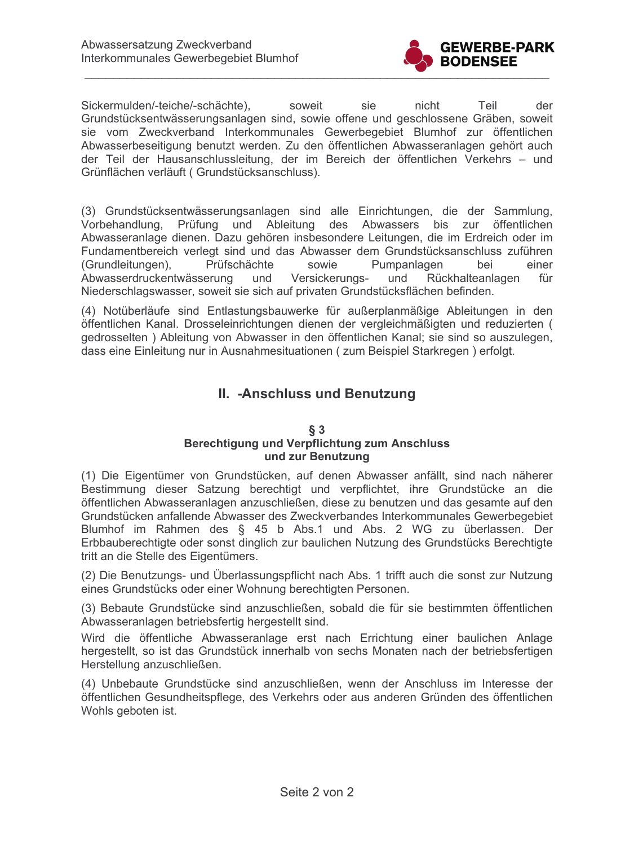

Sickermulden/-teiche/-schächte), soweit sie nicht Teil der Grundstücksentwässerungsanlagen sind, sowie offene und geschlossene Gräben, soweit sie vom Zweckverband Interkommunales Gewerbegebiet Blumhof zur öffentlichen Abwasserbeseitigung benutzt werden. Zu den öffentlichen Abwasseranlagen gehört auch der Teil der Hausanschlussleitung, der im Bereich der öffentlichen Verkehrs - und Grünflächen verläuft (Grundstücksanschluss).

(3) Grundstücksentwässerungsanlagen sind alle Einrichtungen, die der Sammlung, Vorbehandlung, Prüfung und Ableitung des Abwassers bis zur öffentlichen Abwasseranlage dienen. Dazu gehören insbesondere Leitungen, die im Erdreich oder im Fundamentbereich verlegt sind und das Abwasser dem Grundstücksanschluss zuführen Prüfschächte Pumpanlagen (Grundleitungen). sowie bei einer Abwasserdruckentwässerung und Versickerungsund Rückhalteanlagen für Niederschlagswasser, soweit sie sich auf privaten Grundstücksflächen befinden.

(4) Notüberläufe sind Entlastungsbauwerke für außerplanmäßige Ableitungen in den öffentlichen Kanal. Drosseleinrichtungen dienen der vergleichmäßigten und reduzierten ( gedrosselten) Ableitung von Abwasser in den öffentlichen Kanal; sie sind so auszulegen, dass eine Einleitung nur in Ausnahmesituationen (zum Beispiel Starkregen) erfolgt.

# II. - Anschluss und Benutzung

#### $\S$  3 **Berechtigung und Verpflichtung zum Anschluss** und zur Benutzung

(1) Die Eigentümer von Grundstücken, auf denen Abwasser anfällt, sind nach näherer Bestimmung dieser Satzung berechtigt und verpflichtet, ihre Grundstücke an die öffentlichen Abwasseranlagen anzuschließen, diese zu benutzen und das gesamte auf den Grundstücken anfallende Abwasser des Zweckverbandes Interkommunales Gewerbegebiet Blumhof im Rahmen des § 45 b Abs.1 und Abs. 2 WG zu überlassen. Der Erbbauberechtigte oder sonst dinglich zur baulichen Nutzung des Grundstücks Berechtigte tritt an die Stelle des Eigentümers.

(2) Die Benutzungs- und Überlassungspflicht nach Abs. 1 trifft auch die sonst zur Nutzung eines Grundstücks oder einer Wohnung berechtigten Personen.

(3) Bebaute Grundstücke sind anzuschließen, sobald die für sie bestimmten öffentlichen Abwasseranlagen betriebsfertig hergestellt sind.

Wird die öffentliche Abwasseranlage erst nach Errichtung einer baulichen Anlage hergestellt, so ist das Grundstück innerhalb von sechs Monaten nach der betriebsfertigen Herstellung anzuschließen.

(4) Unbebaute Grundstücke sind anzuschließen, wenn der Anschluss im Interesse der öffentlichen Gesundheitspflege, des Verkehrs oder aus anderen Gründen des öffentlichen Wohls geboten ist.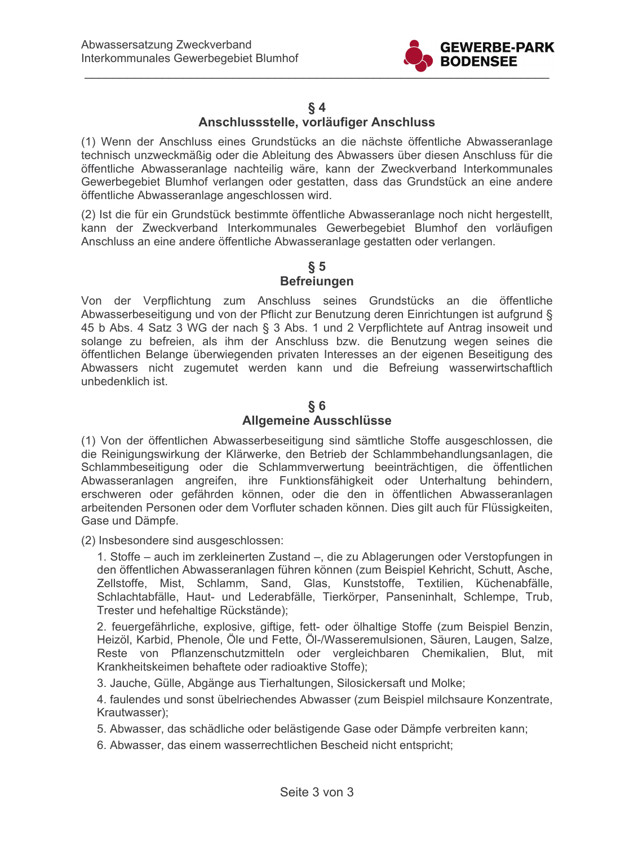

### $§ 4$

# Anschlussstelle, vorläufiger Anschluss

(1) Wenn der Anschluss eines Grundstücks an die nächste öffentliche Abwasseranlage technisch unzweckmäßig oder die Ableitung des Abwassers über diesen Anschluss für die öffentliche Abwasseranlage nachteilig wäre, kann der Zweckverband Interkommunales Gewerbegebiet Blumhof verlangen oder gestatten, dass das Grundstück an eine andere öffentliche Abwasseranlage angeschlossen wird.

(2) Ist die für ein Grundstück bestimmte öffentliche Abwasseranlage noch nicht hergestellt, kann der Zweckverband Interkommunales Gewerbegebiet Blumhof den vorläufigen Anschluss an eine andere öffentliche Abwasseranlage gestatten oder verlangen.

### $\S~5$ **Befreiungen**

Von der Verpflichtung zum Anschluss seines Grundstücks an die öffentliche Abwasserbeseitigung und von der Pflicht zur Benutzung deren Einrichtungen ist aufgrund § 45 b Abs. 4 Satz 3 WG der nach § 3 Abs. 1 und 2 Verpflichtete auf Antrag insoweit und solange zu befreien, als ihm der Anschluss bzw. die Benutzung wegen seines die öffentlichen Belange überwiegenden privaten Interesses an der eigenen Beseitigung des Abwassers nicht zugemutet werden kann und die Befreiung wasserwirtschaftlich unbedenklich ist.

## $§ 6$ Allgemeine Ausschlüsse

(1) Von der öffentlichen Abwasserbeseitigung sind sämtliche Stoffe ausgeschlossen, die die Reinigungswirkung der Klärwerke, den Betrieb der Schlammbehandlungsanlagen, die Schlammbeseitigung oder die Schlammverwertung beeinträchtigen, die öffentlichen Abwasseranlagen angreifen, ihre Funktionsfähigkeit oder Unterhaltung behindern, erschweren oder gefährden können, oder die den in öffentlichen Abwasseranlagen arbeitenden Personen oder dem Vorfluter schaden können. Dies gilt auch für Flüssigkeiten, Gase und Dämpfe.

(2) Insbesondere sind ausgeschlossen:

1. Stoffe – auch im zerkleinerten Zustand –, die zu Ablagerungen oder Verstopfungen in den öffentlichen Abwasseranlagen führen können (zum Beispiel Kehricht, Schutt, Asche, Zellstoffe, Mist, Schlamm, Sand, Glas, Kunststoffe, Textilien, Küchenabfälle, Schlachtabfälle, Haut- und Lederabfälle, Tierkörper, Panseninhalt, Schlempe, Trub, Trester und hefehaltige Rückstände);

2. feuergefährliche, explosive, giftige, fett- oder ölhaltige Stoffe (zum Beispiel Benzin, Heizöl, Karbid, Phenole, Öle und Fette, Öl-/Wasseremulsionen, Säuren, Laugen, Salze, Reste von Pflanzenschutzmitteln oder vergleichbaren Chemikalien, Blut, mit Krankheitskeimen behaftete oder radioaktive Stoffe);

3. Jauche, Gülle, Abgänge aus Tierhaltungen, Silosickersaft und Molke;

4. faulendes und sonst übelriechendes Abwasser (zum Beispiel milchsaure Konzentrate, Krautwasser);

5. Abwasser, das schädliche oder belästigende Gase oder Dämpfe verbreiten kann;

6. Abwasser, das einem wasserrechtlichen Bescheid nicht entspricht;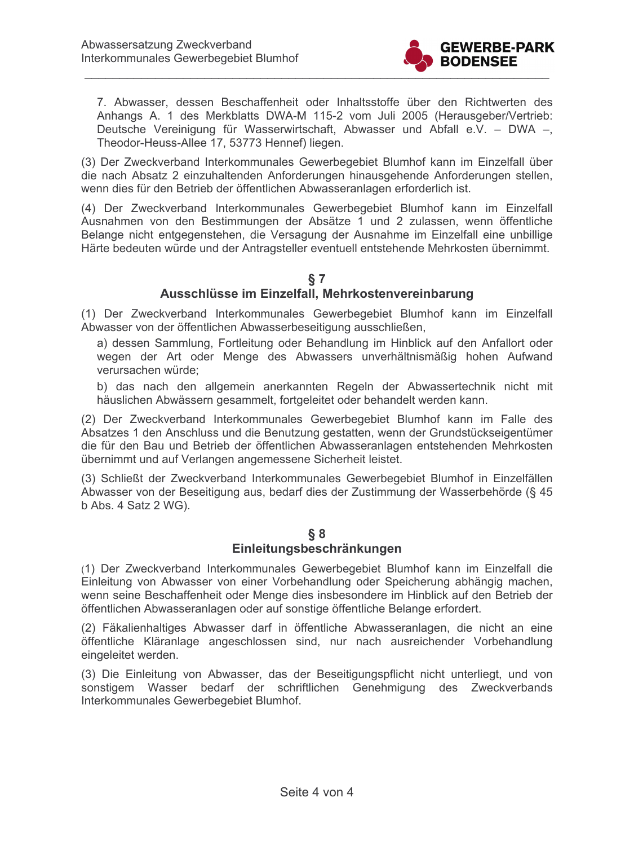

7. Abwasser, dessen Beschaffenheit oder Inhaltsstoffe über den Richtwerten des Anhangs A. 1 des Merkblatts DWA-M 115-2 vom Juli 2005 (Herausgeber/Vertrieb: Deutsche Vereinigung für Wasserwirtschaft, Abwasser und Abfall e.V. - DWA -, Theodor-Heuss-Allee 17, 53773 Hennef) liegen.

(3) Der Zweckverband Interkommunales Gewerbegebiet Blumhof kann im Einzelfall über die nach Absatz 2 einzuhaltenden Anforderungen hinausgehende Anforderungen stellen, wenn dies für den Betrieb der öffentlichen Abwasseranlagen erforderlich ist.

(4) Der Zweckverband Interkommunales Gewerbegebiet Blumhof kann im Einzelfall Ausnahmen von den Bestimmungen der Absätze 1 und 2 zulassen, wenn öffentliche Belange nicht entgegenstehen, die Versagung der Ausnahme im Einzelfall eine unbillige Härte bedeuten würde und der Antragsteller eventuell entstehende Mehrkosten übernimmt.

# $§ 7$

## Ausschlüsse im Einzelfall, Mehrkostenvereinbarung

(1) Der Zweckverband Interkommunales Gewerbegebiet Blumhof kann im Einzelfall Abwasser von der öffentlichen Abwasserbeseitigung ausschließen,

a) dessen Sammlung, Fortleitung oder Behandlung im Hinblick auf den Anfallort oder wegen der Art oder Menge des Abwassers unverhältnismäßig hohen Aufwand verursachen würde;

b) das nach den allgemein anerkannten Regeln der Abwassertechnik nicht mit häuslichen Abwässern gesammelt, fortgeleitet oder behandelt werden kann.

(2) Der Zweckverband Interkommunales Gewerbegebiet Blumhof kann im Falle des Absatzes 1 den Anschluss und die Benutzung gestatten, wenn der Grundstückseigentümer die für den Bau und Betrieb der öffentlichen Abwasseranlagen entstehenden Mehrkosten übernimmt und auf Verlangen angemessene Sicherheit leistet.

(3) Schließt der Zweckverband Interkommunales Gewerbegebiet Blumhof in Einzelfällen Abwasser von der Beseitigung aus, bedarf dies der Zustimmung der Wasserbehörde (§ 45 b Abs. 4 Satz 2 WG).

#### $§ 8$

### Einleitungsbeschränkungen

(1) Der Zweckverband Interkommunales Gewerbegebiet Blumhof kann im Einzelfall die Einleitung von Abwasser von einer Vorbehandlung oder Speicherung abhängig machen, wenn seine Beschaffenheit oder Menge dies insbesondere im Hinblick auf den Betrieb der öffentlichen Abwasseranlagen oder auf sonstige öffentliche Belange erfordert.

(2) Fäkalienhaltiges Abwasser darf in öffentliche Abwasseranlagen, die nicht an eine öffentliche Kläranlage angeschlossen sind, nur nach ausreichender Vorbehandlung eingeleitet werden.

(3) Die Einleitung von Abwasser, das der Beseitigungspflicht nicht unterliegt, und von sonstigem Wasser bedarf der schriftlichen Genehmigung des Zweckverbands Interkommunales Gewerbegebiet Blumhof.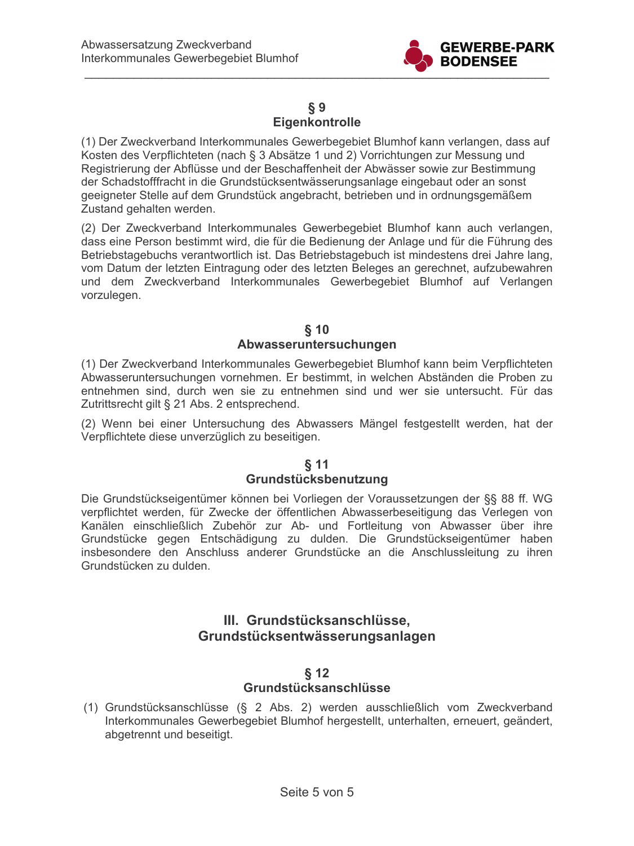

## $\S 9$ Eigenkontrolle

(1) Der Zweckverband Interkommunales Gewerbegebiet Blumhof kann verlangen, dass auf Kosten des Verpflichteten (nach § 3 Absätze 1 und 2) Vorrichtungen zur Messung und Registrierung der Abflüsse und der Beschaffenheit der Abwässer sowie zur Bestimmung der Schadstofffracht in die Grundstücksentwässerungsanlage eingebaut oder an sonst geeigneter Stelle auf dem Grundstück angebracht, betrieben und in ordnungsgemäßem Zustand gehalten werden.

(2) Der Zweckverband Interkommunales Gewerbegebiet Blumhof kann auch verlangen, dass eine Person bestimmt wird, die für die Bedienung der Anlage und für die Führung des Betriebstagebuchs verantwortlich ist. Das Betriebstagebuch ist mindestens drei Jahre lang, vom Datum der letzten Eintragung oder des letzten Beleges an gerechnet, aufzubewahren und dem Zweckverband Interkommunales Gewerbegebiet Blumhof auf Verlangen vorzulegen.

### $§$  10 Abwasseruntersuchungen

(1) Der Zweckverband Interkommunales Gewerbegebiet Blumhof kann beim Verpflichteten Abwasseruntersuchungen vornehmen. Er bestimmt, in welchen Abständen die Proben zu entnehmen sind, durch wen sie zu entnehmen sind und wer sie untersucht. Für das Zutrittsrecht gilt § 21 Abs. 2 entsprechend.

(2) Wenn bei einer Untersuchung des Abwassers Mängel festgestellt werden, hat der Verpflichtete diese unverzüglich zu beseitigen.

## $§$  11 Grundstücksbenutzung

Die Grundstückseigentümer können bei Vorliegen der Voraussetzungen der §§ 88 ff. WG verpflichtet werden, für Zwecke der öffentlichen Abwasserbeseitigung das Verlegen von Kanälen einschließlich Zubehör zur Ab- und Fortleitung von Abwasser über ihre Grundstücke gegen Entschädigung zu dulden. Die Grundstückseigentümer haben insbesondere den Anschluss anderer Grundstücke an die Anschlussleitung zu ihren Grundstücken zu dulden.

# III. Grundstücksanschlüsse. Grundstücksentwässerungsanlagen

# $§$  12

# Grundstücksanschlüsse

(1) Grundstücksanschlüsse (§ 2 Abs. 2) werden ausschließlich vom Zweckverband Interkommunales Gewerbegebiet Blumhof hergestellt, unterhalten, erneuert, geändert, abgetrennt und beseitigt.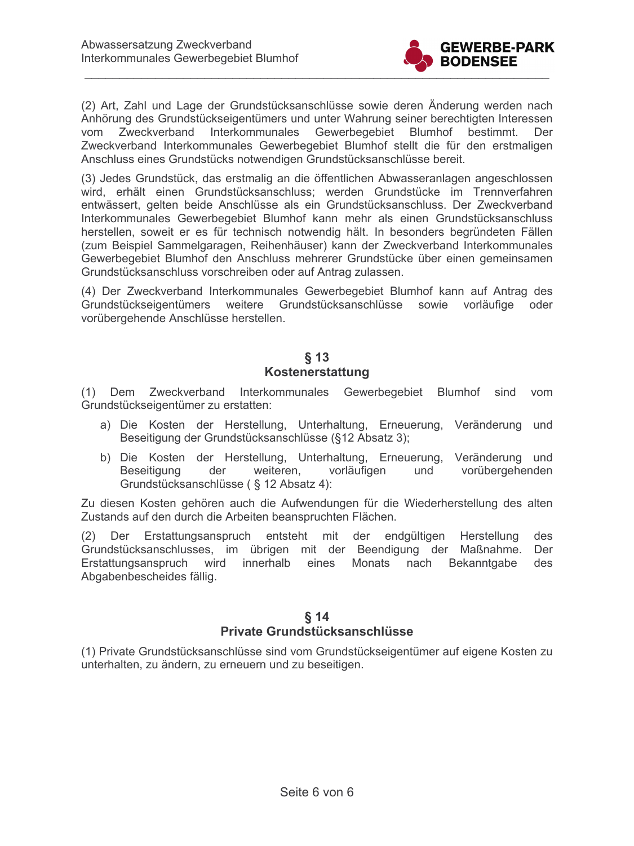

(2) Art, Zahl und Lage der Grundstücksanschlüsse sowie deren Änderung werden nach Anhörung des Grundstückseigentümers und unter Wahrung seiner berechtigten Interessen vom Zweckverband Interkommunales Gewerbegebiet Blumhof bestimmt. Der Zweckverband Interkommunales Gewerbegebiet Blumhof stellt die für den erstmaligen Anschluss eines Grundstücks notwendigen Grundstücksanschlüsse bereit.

(3) Jedes Grundstück, das erstmalig an die öffentlichen Abwasseranlagen angeschlossen wird, erhält einen Grundstücksanschluss; werden Grundstücke im Trennverfahren entwässert, gelten beide Anschlüsse als ein Grundstücksanschluss. Der Zweckverband Interkommunales Gewerbegebiet Blumhof kann mehr als einen Grundstücksanschluss herstellen, soweit er es für technisch notwendig hält. In besonders begründeten Fällen (zum Beispiel Sammelgaragen, Reihenhäuser) kann der Zweckverband Interkommunales Gewerbegebiet Blumhof den Anschluss mehrerer Grundstücke über einen gemeinsamen Grundstücksanschluss vorschreiben oder auf Antrag zulassen.

(4) Der Zweckverband Interkommunales Gewerbegebiet Blumhof kann auf Antrag des Grundstückseigentümers weitere Grundstücksanschlüsse sowie vorläufige oder vorübergehende Anschlüsse herstellen.

## $§$  13 **Kostenerstattung**

(1) Dem Zweckverband Interkommunales Gewerbegebiet Blumhof sind vom Grundstückseigentümer zu erstatten:

- a) Die Kosten der Herstellung, Unterhaltung, Erneuerung, Veränderung und Beseitigung der Grundstücksanschlüsse (§12 Absatz 3);
- b) Die Kosten der Herstellung, Unterhaltung, Erneuerung, Veränderung und Beseitigung der weiteren, vorläufigen vorübergehenden und Grundstücksanschlüsse (§ 12 Absatz 4):

Zu diesen Kosten gehören auch die Aufwendungen für die Wiederherstellung des alten Zustands auf den durch die Arbeiten beanspruchten Flächen.

(2) Der Erstattungsanspruch entsteht mit der endgültigen Herstellung des Grundstücksanschlusses, im übrigen mit der Beendigung der Maßnahme. Der Erstattungsanspruch wird innerhalb eines Monats nach Bekanntgabe des Abgabenbescheides fällig.

## $§$  14

#### Private Grundstücksanschlüsse

(1) Private Grundstücksanschlüsse sind vom Grundstückseigentümer auf eigene Kosten zu unterhalten, zu ändern, zu erneuern und zu beseitigen.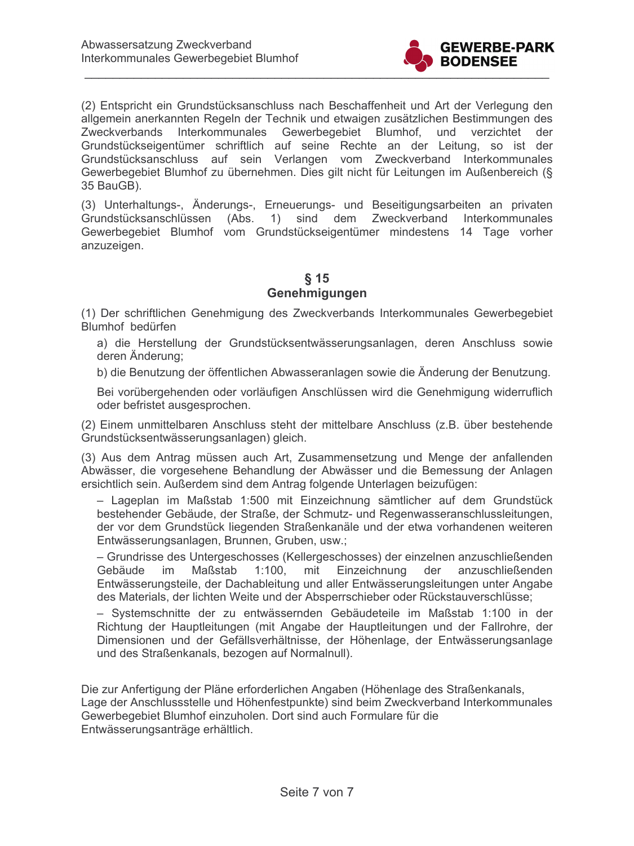

(2) Entspricht ein Grundstücksanschluss nach Beschaffenheit und Art der Verlegung den allgemein anerkannten Regeln der Technik und etwaigen zusätzlichen Bestimmungen des Zweckverbands Interkommunales Gewerbegebiet Blumhof, und verzichtet der Grundstückseigentümer schriftlich auf seine Rechte an der Leitung, so ist der Grundstücksanschluss auf sein Verlangen vom Zweckverband Interkommunales Gewerbegebiet Blumhof zu übernehmen. Dies gilt nicht für Leitungen im Außenbereich (§ 35 BauGB).

(3) Unterhaltungs-, Änderungs-, Erneuerungs- und Beseitigungsarbeiten an privaten Grundstücksanschlüssen (Abs. 1) sind dem Zweckverband Interkommunales Gewerbegebiet Blumhof vom Grundstückseigentümer mindestens 14 Tage vorher anzuzeigen.

## $§$  15 Genehmigungen

(1) Der schriftlichen Genehmigung des Zweckverbands Interkommunales Gewerbegebiet Blumhof bedürfen

a) die Herstellung der Grundstücksentwässerungsanlagen, deren Anschluss sowie deren Änderung:

b) die Benutzung der öffentlichen Abwasseranlagen sowie die Änderung der Benutzung.

Bei vorübergehenden oder vorläufigen Anschlüssen wird die Genehmigung widerruflich oder befristet ausgesprochen.

(2) Einem unmittelbaren Anschluss steht der mittelbare Anschluss (z.B. über bestehende Grundstücksentwässerungsanlagen) gleich.

(3) Aus dem Antrag müssen auch Art, Zusammensetzung und Menge der anfallenden Abwässer, die vorgesehene Behandlung der Abwässer und die Bemessung der Anlagen ersichtlich sein. Außerdem sind dem Antrag folgende Unterlagen beizufügen:

- Lageplan im Maßstab 1:500 mit Einzeichnung sämtlicher auf dem Grundstück bestehender Gebäude, der Straße, der Schmutz- und Regenwasseranschlussleitungen, der vor dem Grundstück liegenden Straßenkanäle und der etwa vorhandenen weiteren Entwässerungsanlagen, Brunnen, Gruben, usw.;

- Grundrisse des Untergeschosses (Kellergeschosses) der einzelnen anzuschließenden Gebäude im Maßstab  $1:100.$ mit Einzeichnung der anzuschließenden Entwässerungsteile, der Dachableitung und aller Entwässerungsleitungen unter Angabe des Materials, der lichten Weite und der Absperrschieber oder Rückstauverschlüsse;

- Systemschnitte der zu entwässernden Gebäudeteile im Maßstab 1:100 in der Richtung der Hauptleitungen (mit Angabe der Hauptleitungen und der Fallrohre, der Dimensionen und der Gefällsverhältnisse, der Höhenlage, der Entwässerungsanlage und des Straßenkanals, bezogen auf Normalnull).

Die zur Anfertigung der Pläne erforderlichen Angaben (Höhenlage des Straßenkanals, Lage der Anschlussstelle und Höhenfestpunkte) sind beim Zweckverband Interkommunales Gewerbegebiet Blumhof einzuholen. Dort sind auch Formulare für die Entwässerungsanträge erhältlich.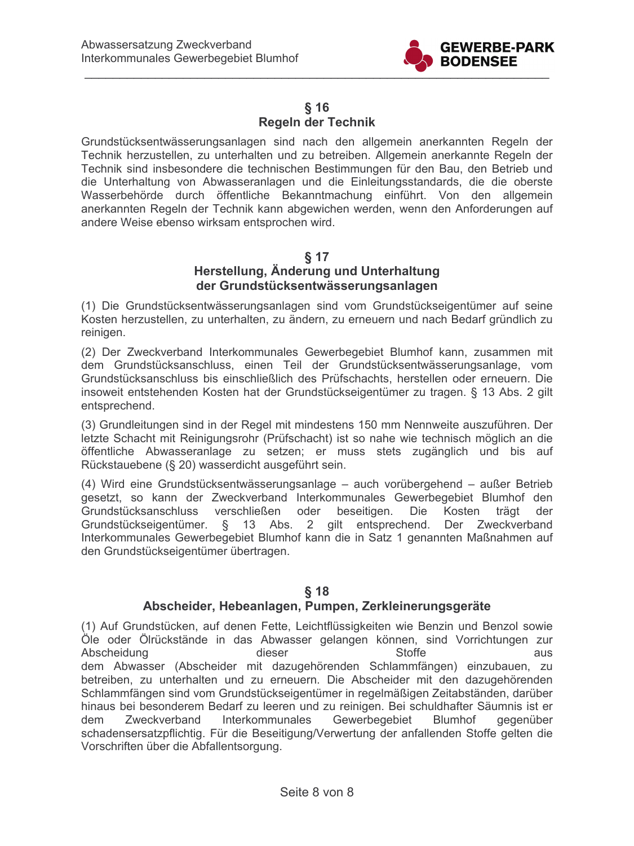

### $§$  16 Regeln der Technik

Grundstücksentwässerungsanlagen sind nach den allgemein anerkannten Regeln der Technik herzustellen, zu unterhalten und zu betreiben. Allgemein anerkannte Regeln der Technik sind insbesondere die technischen Bestimmungen für den Bau, den Betrieb und die Unterhaltung von Abwasseranlagen und die Einleitungsstandards, die die oberste Wasserbehörde durch öffentliche Bekanntmachung einführt. Von den allgemein anerkannten Regeln der Technik kann abgewichen werden, wenn den Anforderungen auf andere Weise ebenso wirksam entsprochen wird.

## **817**

## Herstellung, Änderung und Unterhaltung der Grundstücksentwässerungsanlagen

(1) Die Grundstücksentwässerungsanlagen sind vom Grundstückseigentümer auf seine Kosten herzustellen, zu unterhalten, zu ändern, zu erneuern und nach Bedarf gründlich zu reinigen.

(2) Der Zweckverband Interkommunales Gewerbegebiet Blumhof kann, zusammen mit dem Grundstücksanschluss, einen Teil der Grundstücksentwässerungsanlage, vom Grundstücksanschluss bis einschließlich des Prüfschachts, herstellen oder erneuern. Die insoweit entstehenden Kosten hat der Grundstückseigentümer zu tragen. § 13 Abs. 2 gilt entsprechend.

(3) Grundleitungen sind in der Regel mit mindestens 150 mm Nennweite auszuführen. Der letzte Schacht mit Reinigungsrohr (Prüfschacht) ist so nahe wie technisch möglich an die öffentliche Abwasseranlage zu setzen; er muss stets zugänglich und bis auf Rückstauebene (§ 20) wasserdicht ausgeführt sein.

(4) Wird eine Grundstücksentwässerungsanlage - auch vorübergehend - außer Betrieb gesetzt, so kann der Zweckverband Interkommunales Gewerbegebiet Blumhof den Grundstücksanschluss verschließen oder beseitigen. Die Kosten trägt der Grundstückseigentümer. § 13 Abs. 2 gilt entsprechend. Der Zweckverband Interkommunales Gewerbegebiet Blumhof kann die in Satz 1 genannten Maßnahmen auf den Grundstückseigentümer übertragen.

# $§$  18

## Abscheider, Hebeanlagen, Pumpen, Zerkleinerungsgeräte

(1) Auf Grundstücken, auf denen Fette, Leichtflüssigkeiten wie Benzin und Benzol sowie Öle oder Ölrückstände in das Abwasser gelangen können, sind Vorrichtungen zur Abscheidung dieser **Stoffe** aus dem Abwasser (Abscheider mit dazugehörenden Schlammfängen) einzubauen, zu betreiben, zu unterhalten und zu erneuern. Die Abscheider mit den dazugehörenden Schlammfängen sind vom Grundstückseigentümer in regelmäßigen Zeitabständen, darüber hinaus bei besonderem Bedarf zu leeren und zu reinigen. Bei schuldhafter Säumnis ist er Zweckverband Interkommunales Gewerbegebiet dem **Blumhof** gegenüber schadensersatzpflichtig. Für die Beseitigung/Verwertung der anfallenden Stoffe gelten die Vorschriften über die Abfallentsorgung.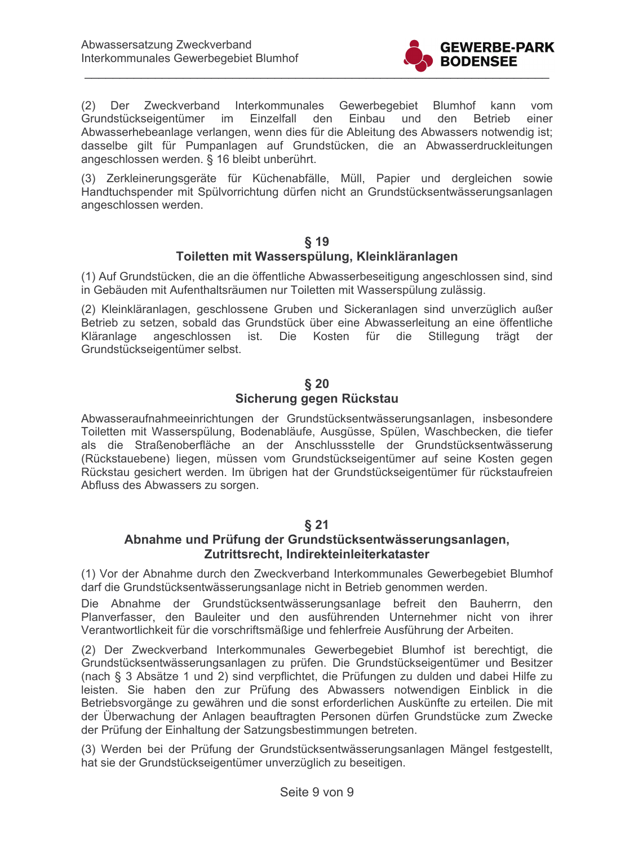

(2) Der Zweckverband Interkommunales Gewerbegebiet Blumhof kann vom Grundstückseigentümer im Einzelfall den Einbau und den **Betrieb** einer Abwasserhebeanlage verlangen, wenn dies für die Ableitung des Abwassers notwendig ist; dasselbe gilt für Pumpanlagen auf Grundstücken, die an Abwasserdruckleitungen angeschlossen werden. § 16 bleibt unberührt.

(3) Zerkleinerungsgeräte für Küchenabfälle, Müll, Papier und dergleichen sowie Handtuchspender mit Spülvorrichtung dürfen nicht an Grundstücksentwässerungsanlagen angeschlossen werden.

### $§$  19

## Toiletten mit Wasserspülung, Kleinkläranlagen

(1) Auf Grundstücken, die an die öffentliche Abwasserbeseitigung angeschlossen sind, sind in Gebäuden mit Aufenthaltsräumen nur Toiletten mit Wasserspülung zulässig.

(2) Kleinkläranlagen, geschlossene Gruben und Sickeranlagen sind unverzüglich außer Betrieb zu setzen, sobald das Grundstück über eine Abwasserleitung an eine öffentliche Kläranlage angeschlossen ist. Die Kosten für die Stillegung trägt der Grundstückseigentümer selbst.

#### $\delta$  20 Sicherung gegen Rückstau

Abwasseraufnahmeeinrichtungen der Grundstücksentwässerungsanlagen, insbesondere Toiletten mit Wasserspülung, Bodenabläufe, Ausgüsse, Spülen, Waschbecken, die tiefer als die Straßenoberfläche an der Anschlussstelle der Grundstücksentwässerung (Rückstauebene) liegen, müssen vom Grundstückseigentümer auf seine Kosten gegen Rückstau gesichert werden. Im übrigen hat der Grundstückseigentümer für rückstaufreien Abfluss des Abwassers zu sorgen.

## $§$  21

### Abnahme und Prüfung der Grundstücksentwässerungsanlagen, Zutrittsrecht, Indirekteinleiterkataster

(1) Vor der Abnahme durch den Zweckverband Interkommunales Gewerbegebiet Blumhof darf die Grundstücksentwässerungsanlage nicht in Betrieb genommen werden.

Die Abnahme der Grundstücksentwässerungsanlage befreit den Bauherrn, den Planverfasser, den Bauleiter und den ausführenden Unternehmer nicht von ihrer Verantwortlichkeit für die vorschriftsmäßige und fehlerfreie Ausführung der Arbeiten.

(2) Der Zweckverband Interkommunales Gewerbegebiet Blumhof ist berechtigt, die Grundstücksentwässerungsanlagen zu prüfen. Die Grundstückseigentümer und Besitzer (nach § 3 Absätze 1 und 2) sind verpflichtet, die Prüfungen zu dulden und dabei Hilfe zu leisten. Sie haben den zur Prüfung des Abwassers notwendigen Einblick in die Betriebsvorgänge zu gewähren und die sonst erforderlichen Auskünfte zu erteilen. Die mit der Überwachung der Anlagen beauftragten Personen dürfen Grundstücke zum Zwecke der Prüfung der Einhaltung der Satzungsbestimmungen betreten.

(3) Werden bei der Prüfung der Grundstücksentwässerungsanlagen Mängel festgestellt, hat sie der Grundstückseigentümer unverzüglich zu beseitigen.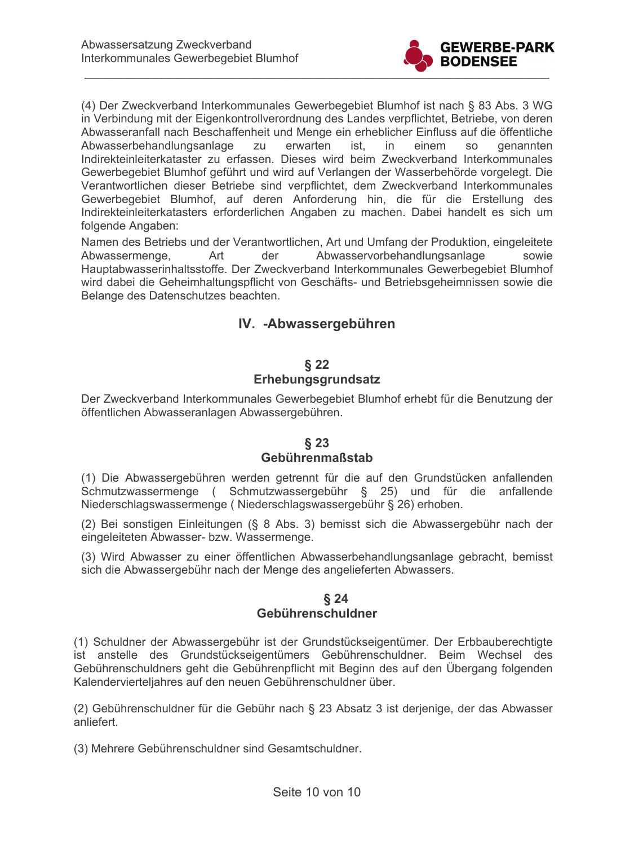

(4) Der Zweckverband Interkommunales Gewerbegebiet Blumhof ist nach § 83 Abs. 3 WG in Verbindung mit der Eigenkontrollverordnung des Landes verpflichtet, Betriebe, von deren Abwasseranfall nach Beschaffenheit und Menge ein erheblicher Einfluss auf die öffentliche Abwasserbehandlungsanlage zu erwarten  $in$ einem ist. **SO** genannten Indirekteinleiterkataster zu erfassen. Dieses wird beim Zweckverband Interkommunales Gewerbegebiet Blumhof geführt und wird auf Verlangen der Wasserbehörde vorgelegt. Die Verantwortlichen dieser Betriebe sind verpflichtet, dem Zweckverband Interkommunales Gewerbegebiet Blumhof, auf deren Anforderung hin, die für die Erstellung des Indirekteinleiterkatasters erforderlichen Angaben zu machen. Dabei handelt es sich um folgende Angaben:

Namen des Betriebs und der Verantwortlichen, Art und Umfang der Produktion, eingeleitete der Abwasservorbehandlungsanlage Abwassermenge, Art sowie Hauptabwasserinhaltsstoffe. Der Zweckverband Interkommunales Gewerbegebiet Blumhof wird dabei die Geheimhaltungspflicht von Geschäfts- und Betriebsgeheimnissen sowie die Belange des Datenschutzes beachten.

## IV. - Abwassergebühren

### $§$  22

### Erhebungsgrundsatz

Der Zweckverband Interkommunales Gewerbegebiet Blumhof erhebt für die Benutzung der öffentlichen Abwasseranlagen Abwassergebühren.

#### $§$  23 Gebührenmaßstab

(1) Die Abwassergebühren werden getrennt für die auf den Grundstücken anfallenden Schmutzwassermenge (Schmutzwassergebühr § 25) und für die anfallende Niederschlagswassermenge (Niederschlagswassergebühr § 26) erhoben.

(2) Bei sonstigen Einleitungen (§ 8 Abs. 3) bemisst sich die Abwassergebühr nach der eingeleiteten Abwasser- bzw. Wassermenge.

(3) Wird Abwasser zu einer öffentlichen Abwasserbehandlungsanlage gebracht, bemisst sich die Abwassergebühr nach der Menge des angelieferten Abwassers.

### $§24$ Gebührenschuldner

(1) Schuldner der Abwassergebühr ist der Grundstückseigentümer. Der Erbbauberechtigte ist anstelle des Grundstückseigentümers Gebührenschuldner. Beim Wechsel des Gebührenschuldners geht die Gebührenpflicht mit Beginn des auf den Übergang folgenden Kalendervierteljahres auf den neuen Gebührenschuldner über.

(2) Gebührenschuldner für die Gebühr nach § 23 Absatz 3 ist derjenige, der das Abwasser anliefert.

(3) Mehrere Gebührenschuldner sind Gesamtschuldner.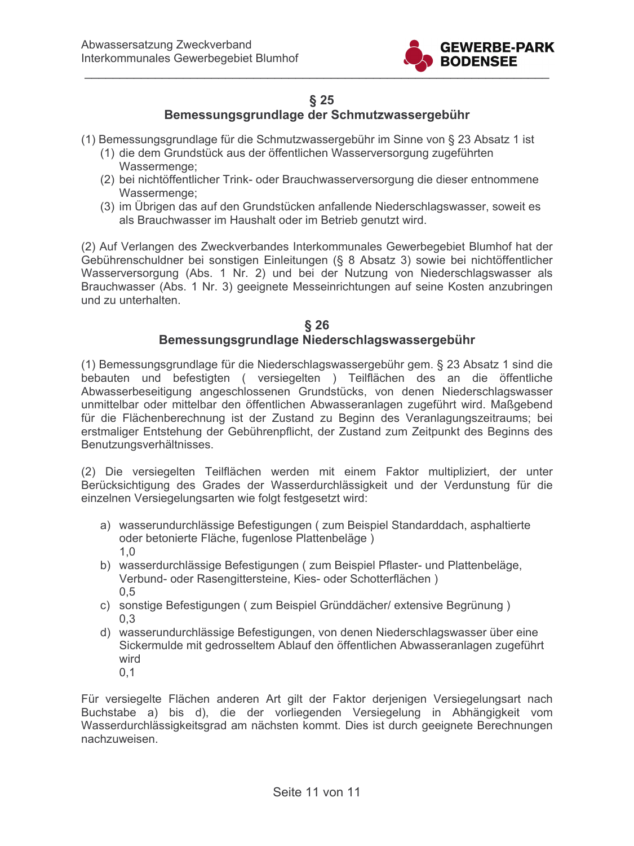

## $§$  25

## Bemessungsgrundlage der Schmutzwassergebühr

- (1) Bemessungsgrundlage für die Schmutzwassergebühr im Sinne von § 23 Absatz 1 ist
	- (1) die dem Grundstück aus der öffentlichen Wasserversorgung zugeführten Wassermenge;
	- (2) bei nichtöffentlicher Trink- oder Brauchwasserversorgung die dieser entnommene Wassermenge;
	- (3) im Übrigen das auf den Grundstücken anfallende Niederschlagswasser, soweit es als Brauchwasser im Haushalt oder im Betrieb genutzt wird.

(2) Auf Verlangen des Zweckverbandes Interkommunales Gewerbegebiet Blumhof hat der Gebührenschuldner bei sonstigen Einleitungen (§ 8 Absatz 3) sowie bei nichtöffentlicher Wasserversorgung (Abs. 1 Nr. 2) und bei der Nutzung von Niederschlagswasser als Brauchwasser (Abs. 1 Nr. 3) geeignete Messeinrichtungen auf seine Kosten anzubringen und zu unterhalten.

#### $§$  26 Bemessungsgrundlage Niederschlagswassergebühr

(1) Bemessungsgrundlage für die Niederschlagswassergebühr gem. § 23 Absatz 1 sind die bebauten und befestigten (versiegelten) Teilflächen des an die öffentliche Abwasserbeseitigung angeschlossenen Grundstücks, von denen Niederschlagswasser unmittelbar oder mittelbar den öffentlichen Abwasseranlagen zugeführt wird. Maßgebend für die Flächenberechnung ist der Zustand zu Beginn des Veranlagungszeitraums; bei erstmaliger Entstehung der Gebührenpflicht, der Zustand zum Zeitpunkt des Beginns des Benutzungsverhältnisses.

(2) Die versiegelten Teilflächen werden mit einem Faktor multipliziert, der unter Berücksichtigung des Grades der Wasserdurchlässigkeit und der Verdunstung für die einzelnen Versiegelungsarten wie folgt festgesetzt wird:

- a) wasserundurchlässige Befestigungen (zum Beispiel Standarddach, asphaltierte oder betonierte Fläche, fugenlose Plattenbeläge)  $1.0$
- b) wasserdurchlässige Befestigungen (zum Beispiel Pflaster- und Plattenbeläge, Verbund- oder Rasengittersteine, Kies- oder Schotterflächen)  $0.5$
- c) sonstige Befestigungen ( zum Beispiel Gründdächer/ extensive Begrünung )  $0,3$
- d) wasserundurchlässige Befestigungen, von denen Niederschlagswasser über eine Sickermulde mit gedrosseltem Ablauf den öffentlichen Abwasseranlagen zugeführt wird
	- $0,1$

Für versiegelte Flächen anderen Art gilt der Faktor derjenigen Versiegelungsart nach Buchstabe a) bis d), die der vorliegenden Versiegelung in Abhängigkeit vom Wasserdurchlässigkeitsgrad am nächsten kommt. Dies ist durch geeignete Berechnungen nachzuweisen.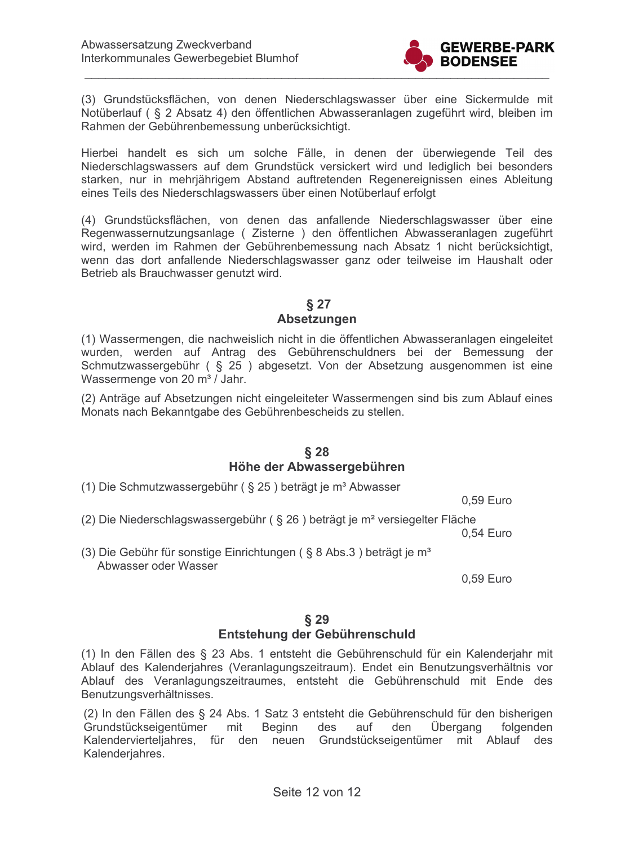

(3) Grundstücksflächen, von denen Niederschlagswasser über eine Sickermulde mit Notüberlauf (§ 2 Absatz 4) den öffentlichen Abwasseranlagen zugeführt wird, bleiben im Rahmen der Gebührenbemessung unberücksichtigt.

Hierbei handelt es sich um solche Fälle, in denen der überwiegende Teil des Niederschlagswassers auf dem Grundstück versickert wird und lediglich bei besonders starken, nur in mehrjährigem Abstand auftretenden Regenereignissen eines Ableitung eines Teils des Niederschlagswassers über einen Notüberlauf erfolgt

(4) Grundstücksflächen, von denen das anfallende Niederschlagswasser über eine Regenwassernutzungsanlage (Zisterne) den öffentlichen Abwasseranlagen zugeführt wird, werden im Rahmen der Gebührenbemessung nach Absatz 1 nicht berücksichtigt, wenn das dort anfallende Niederschlagswasser ganz oder teilweise im Haushalt oder Betrieb als Brauchwasser genutzt wird.

#### $§$  27

#### Absetzungen

(1) Wassermengen, die nachweislich nicht in die öffentlichen Abwasseranlagen eingeleitet wurden, werden auf Antrag des Gebührenschuldners bei der Bemessung der Schmutzwassergebühr (§ 25) abgesetzt. Von der Absetzung ausgenommen ist eine Wassermenge von 20 m<sup>3</sup> / Jahr.

(2) Anträge auf Absetzungen nicht eingeleiteter Wassermengen sind bis zum Ablauf eines Monats nach Bekanntgabe des Gebührenbescheids zu stellen.

#### $§$  28 Höhe der Abwassergebühren

(1) Die Schmutzwassergebühr ( $\S$  25) beträgt je m<sup>3</sup> Abwasser

0,59 Euro

(2) Die Niederschlagswassergebühr (§ 26) beträgt je m<sup>2</sup> versiegelter Fläche

0,54 Euro

(3) Die Gebühr für sonstige Einrichtungen (§ 8 Abs.3) beträgt je m<sup>3</sup> Abwasser oder Wasser

0,59 Euro

### $§$  29 Entstehung der Gebührenschuld

(1) In den Fällen des § 23 Abs. 1 entsteht die Gebührenschuld für ein Kalenderjahr mit Ablauf des Kalenderjahres (Veranlagungszeitraum). Endet ein Benutzungsverhältnis vor Ablauf des Veranlagungszeitraumes, entsteht die Gebührenschuld mit Ende des Benutzungsverhältnisses.

(2) In den Fällen des § 24 Abs. 1 Satz 3 entsteht die Gebührenschuld für den bisherigen Grundstückseigentümer mit Beginn auf Übergang des den folgenden Kalendervierteljahres, für den neuen Grundstückseigentümer mit Ablauf des Kalenderjahres.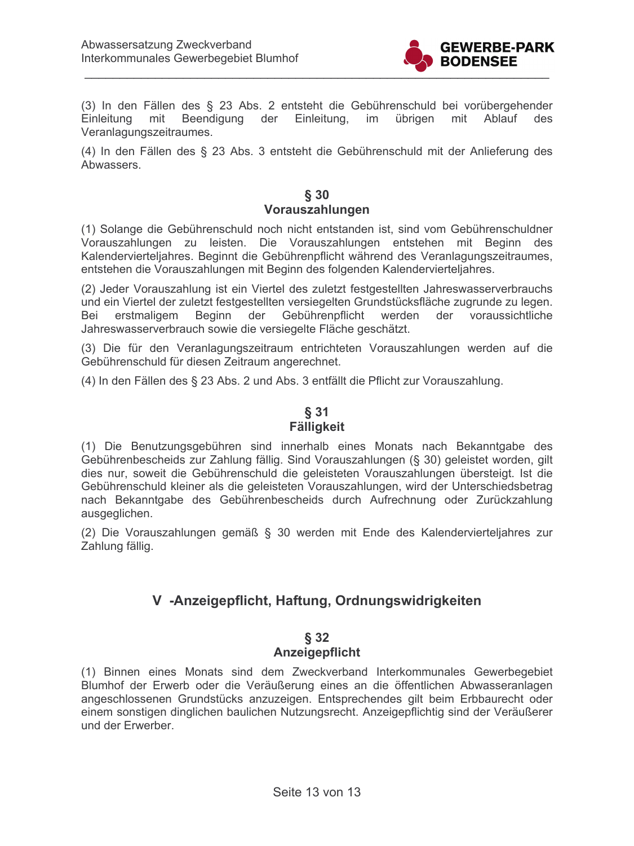

(3) In den Fällen des § 23 Abs. 2 entsteht die Gebührenschuld bei vorübergehender Einleitung mit Beendigung der Einleitung. im übrigen mit Ablauf des Veranlagungszeitraumes.

(4) In den Fällen des § 23 Abs. 3 entsteht die Gebührenschuld mit der Anlieferung des Abwassers.

### $§ 30$ Vorauszahlungen

(1) Solange die Gebührenschuld noch nicht entstanden ist, sind vom Gebührenschuldner Vorauszahlungen zu leisten. Die Vorauszahlungen entstehen mit Beginn des Kalendervierteliahres. Beginnt die Gebührenpflicht während des Veranlagungszeitraumes. entstehen die Vorauszahlungen mit Beginn des folgenden Kalendervierteljahres.

(2) Jeder Vorauszahlung ist ein Viertel des zuletzt festgestellten Jahreswasserverbrauchs und ein Viertel der zuletzt festgestellten versiegelten Grundstücksfläche zugrunde zu legen. Beginn der Gebührenpflicht werden der voraussichtliche erstmaligem Bei Jahreswasserverbrauch sowie die versiegelte Fläche geschätzt.

(3) Die für den Veranlagungszeitraum entrichteten Vorauszahlungen werden auf die Gebührenschuld für diesen Zeitraum angerechnet.

(4) In den Fällen des § 23 Abs. 2 und Abs. 3 entfällt die Pflicht zur Vorauszahlung.

# $§31$ **Fälligkeit**

(1) Die Benutzungsgebühren sind innerhalb eines Monats nach Bekanntgabe des Gebührenbescheids zur Zahlung fällig. Sind Vorauszahlungen (§ 30) geleistet worden, gilt dies nur, soweit die Gebührenschuld die geleisteten Vorauszahlungen übersteigt. Ist die Gebührenschuld kleiner als die geleisteten Vorauszahlungen, wird der Unterschiedsbetrag nach Bekanntgabe des Gebührenbescheids durch Aufrechnung oder Zurückzahlung ausgeglichen.

(2) Die Vorauszahlungen gemäß § 30 werden mit Ende des Kalendervierteljahres zur Zahlung fällig.

# V -Anzeigepflicht, Haftung, Ordnungswidrigkeiten

### $§ 32$ Anzeigepflicht

(1) Binnen eines Monats sind dem Zweckverband Interkommunales Gewerbegebiet Blumhof der Erwerb oder die Veräußerung eines an die öffentlichen Abwasseranlagen angeschlossenen Grundstücks anzuzeigen. Entsprechendes gilt beim Erbbaurecht oder einem sonstigen dinglichen baulichen Nutzungsrecht. Anzeigepflichtig sind der Veräußerer und der Erwerber.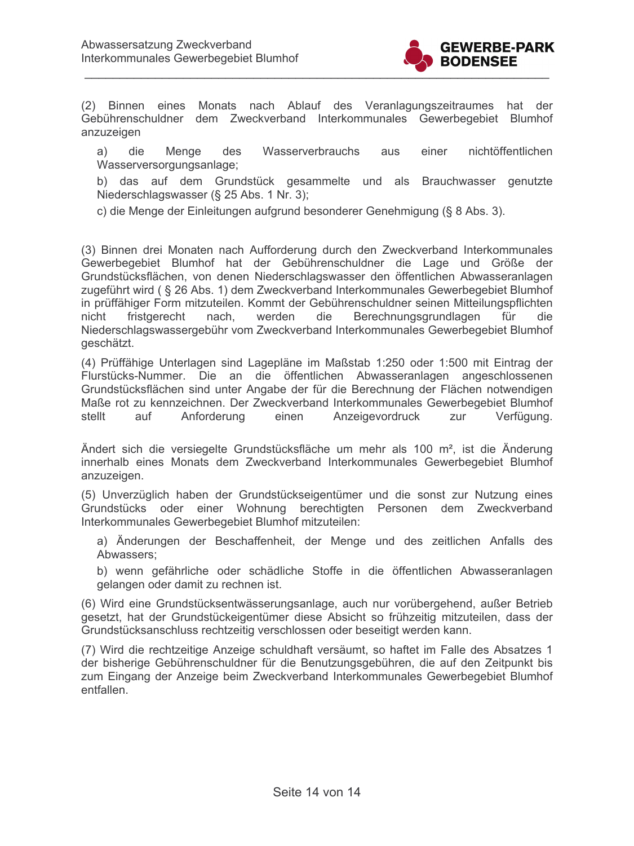

(2) Binnen eines Monats nach Ablauf des Veranlagungszeitraumes hat der Gebührenschuldner dem Zweckverband Interkommunales Gewerbegebiet Blumhof anzuzeigen

die Menge des Wasserverbrauchs einer nichtöffentlichen a) aus Wasserversorgungsanlage;

b) das auf dem Grundstück gesammelte und als Brauchwasser genutzte Niederschlagswasser (§ 25 Abs. 1 Nr. 3);

c) die Menge der Einleitungen aufgrund besonderer Genehmigung (§ 8 Abs. 3).

(3) Binnen drei Monaten nach Aufforderung durch den Zweckverband Interkommunales Gewerbegebiet Blumhof hat der Gebührenschuldner die Lage und Größe der Grundstücksflächen, von denen Niederschlagswasser den öffentlichen Abwasseranlagen zugeführt wird (§ 26 Abs. 1) dem Zweckverband Interkommunales Gewerbegebiet Blumhof in prüffähiger Form mitzuteilen. Kommt der Gebührenschuldner seinen Mitteilungspflichten nicht fristgerecht nach. werden die Berechnungsgrundlagen für die Niederschlagswassergebühr vom Zweckverband Interkommunales Gewerbegebiet Blumhof geschätzt.

(4) Prüffähige Unterlagen sind Lagepläne im Maßstab 1:250 oder 1:500 mit Eintrag der Flurstücks-Nummer. Die an die öffentlichen Abwasseranlagen angeschlossenen Grundstücksflächen sind unter Angabe der für die Berechnung der Flächen notwendigen Maße rot zu kennzeichnen. Der Zweckverband Interkommunales Gewerbegebiet Blumhof stellt auf Anforderung einen Anzeigevordruck zur Verfügung.

Ändert sich die versiegelte Grundstücksfläche um mehr als 100 m<sup>2</sup>, ist die Änderung innerhalb eines Monats dem Zweckverband Interkommunales Gewerbegebiet Blumhof anzuzeigen.

(5) Unverzüglich haben der Grundstückseigentümer und die sonst zur Nutzung eines Grundstücks oder einer Wohnung berechtigten Personen dem Zweckverband Interkommunales Gewerbegebiet Blumhof mitzuteilen:

a) Änderungen der Beschaffenheit, der Menge und des zeitlichen Anfalls des Abwassers:

b) wenn gefährliche oder schädliche Stoffe in die öffentlichen Abwasseranlagen gelangen oder damit zu rechnen ist.

(6) Wird eine Grundstücksentwässerungsanlage, auch nur vorübergehend, außer Betrieb gesetzt, hat der Grundstückeigentümer diese Absicht so frühzeitig mitzuteilen, dass der Grundstücksanschluss rechtzeitig verschlossen oder beseitigt werden kann.

(7) Wird die rechtzeitige Anzeige schuldhaft versäumt, so haftet im Falle des Absatzes 1 der bisherige Gebührenschuldner für die Benutzungsgebühren, die auf den Zeitpunkt bis zum Eingang der Anzeige beim Zweckverband Interkommunales Gewerbegebiet Blumhof entfallen.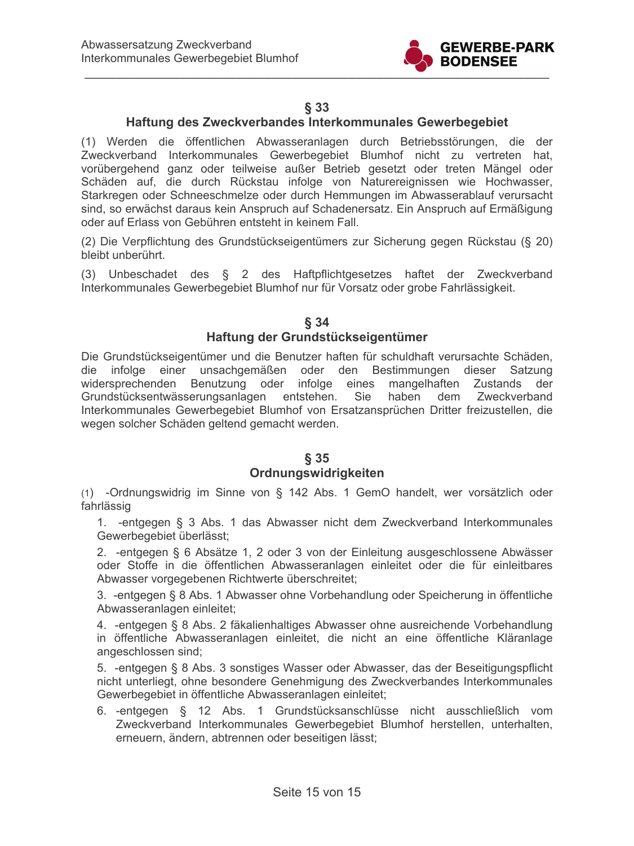

## $§$  33

## Haftung des Zweckverbandes Interkommunales Gewerbegebiet

(1) Werden die öffentlichen Abwasseranlagen durch Betriebsstörungen, die der Zweckverband Interkommunales Gewerbegebiet Blumhof nicht zu vertreten hat, vorübergehend ganz oder teilweise außer Betrieb gesetzt oder treten Mängel oder Schäden auf, die durch Rückstau infolge von Naturereignissen wie Hochwasser, Starkregen oder Schneeschmelze oder durch Hemmungen im Abwasserablauf verursacht sind, so erwächst daraus kein Anspruch auf Schadenersatz. Ein Anspruch auf Ermäßigung oder auf Erlass von Gebühren entsteht in keinem Fall.

(2) Die Verpflichtung des Grundstückseigentümers zur Sicherung gegen Rückstau (§ 20) bleibt unberührt.

(3) Unbeschadet des § 2 des Haftpflichtgesetzes haftet der Zweckverband Interkommunales Gewerbegebiet Blumhof nur für Vorsatz oder grobe Fahrlässigkeit.

#### $§ 34$ Haftung der Grundstückseigentümer

Die Grundstückseigentümer und die Benutzer haften für schuldhaft verursachte Schäden, die infolge einer unsachgemäßen oder den Bestimmungen dieser Satzung widersprechenden Benutzung oder infolge eines mangelhaften Zustands der Grundstücksentwässerungsanlagen entstehen. Sie haben dem Zweckverband Interkommunales Gewerbegebiet Blumhof von Ersatzansprüchen Dritter freizustellen, die wegen solcher Schäden geltend gemacht werden.

#### $§ 35$

#### Ordnungswidrigkeiten

(1) -Ordnungswidrig im Sinne von § 142 Abs. 1 GemO handelt, wer vorsätzlich oder fahrlässig

1. -entgegen § 3 Abs. 1 das Abwasser nicht dem Zweckverband Interkommunales Gewerbegebiet überlässt:

2. -entgegen § 6 Absätze 1, 2 oder 3 von der Einleitung ausgeschlossene Abwässer oder Stoffe in die öffentlichen Abwasseranlagen einleitet oder die für einleitbares Abwasser vorgegebenen Richtwerte überschreitet;

3. -entgegen § 8 Abs. 1 Abwasser ohne Vorbehandlung oder Speicherung in öffentliche Abwasseranlagen einleitet;

4. -entgegen § 8 Abs. 2 fäkalienhaltiges Abwasser ohne ausreichende Vorbehandlung in öffentliche Abwasseranlagen einleitet, die nicht an eine öffentliche Kläranlage angeschlossen sind:

5. - entgegen § 8 Abs. 3 sonstiges Wasser oder Abwasser, das der Beseitigungspflicht nicht unterliegt, ohne besondere Genehmigung des Zweckverbandes Interkommunales Gewerbegebiet in öffentliche Abwasseranlagen einleitet;

6. -entgegen § 12 Abs. 1 Grundstücksanschlüsse nicht ausschließlich vom Zweckverband Interkommunales Gewerbegebiet Blumhof herstellen, unterhalten, erneuern, ändern, abtrennen oder beseitigen lässt;